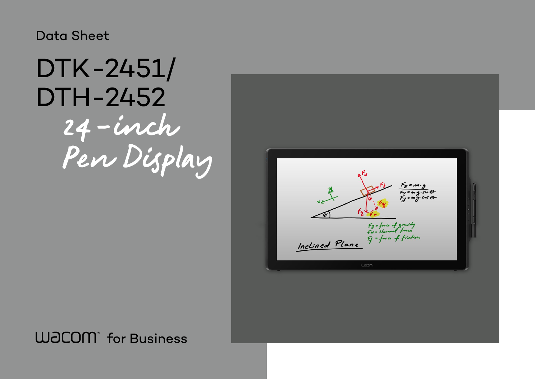## Data Sheet

# 24-inch Pen Display DTK-2451/ DTH-2452

## **WJCOM** for Business

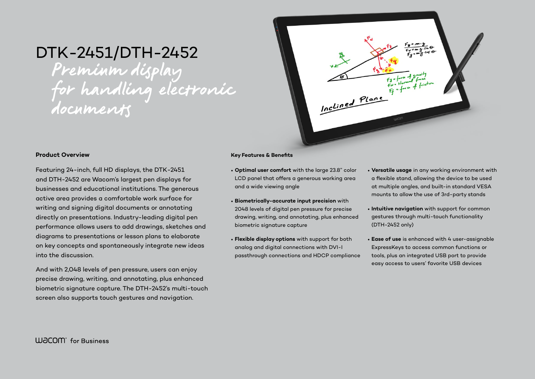## DTK-2451/DTH-2452

Preminm display for handling electronic documents



#### **Product Overview**

Featuring 24-inch, full HD displays, the DTK-2451 and DTH-2452 are Wacom's largest pen displays for businesses and educational institutions. The generous active area provides a comfortable work surface for writing and signing digital documents or annotating directly on presentations. Industry-leading digital pen performance allows users to add drawings, sketches and diagrams to presentations or lesson plans to elaborate on key concepts and spontaneously integrate new ideas into the discussion.

And with 2,048 levels of pen pressure, users can enjoy precise drawing, writing, and annotating, plus enhanced biometric signature capture. The DTH-2452's multi-touch screen also supports touch gestures and navigation.

#### **Key Features & Benefits**

- **Optimal user comfort** with the large 23.8" color LCD panel that offers a generous working area and a wide viewing angle
- **Biometrically-accurate input precision** with 2048 levels of digital pen pressure for precise drawing, writing, and annotating, plus enhanced biometric signature capture
- **Flexible display options** with support for both analog and digital connections with DVI-I passthrough connections and HDCP compliance

• **Versatile usage** in any working environment with a flexible stand, allowing the device to be used at multiple angles, and built-in standard VESA mounts to allow the use of 3rd-party stands

• **Intuitive navigation** with support for common gestures through multi-touch functionality

- 
- (DTH-2452 only)
- 

• **Ease of use** is enhanced with 4 user-assignable ExpressKeys to access common functions or tools, plus an integrated USB port to provide easy access to users' favorite USB devices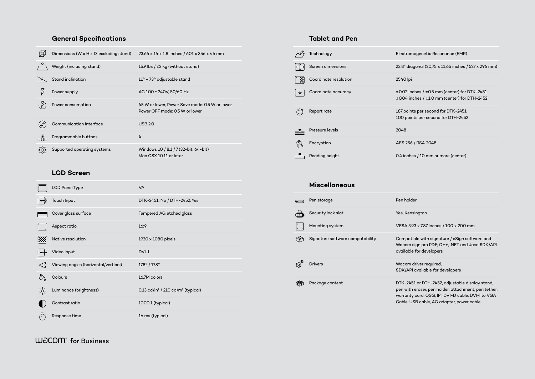### **General Specifications**

|                      | Dimensions (W x H x D, excluding stand) | $23.66 \times 14 \times 1.8$ inches / 601 x 356 x 46 mm                           |
|----------------------|-----------------------------------------|-----------------------------------------------------------------------------------|
|                      | Weight (including stand)                | 15.9 lbs / 7.2 kg (without stand)                                                 |
|                      | Stand inclination                       | $11^{\circ}$ – 73° adjustable stand                                               |
|                      | Power supply                            | AC 100 ~ 240V, 50/60 Hz                                                           |
|                      | Power consumption                       | 45 W or lower, Power Save mode: 0.5 W or lower,<br>Power OFF mode: 0.5 W or lower |
| $(\rightleftarrows)$ | Communication interface                 | <b>USB 2.0</b>                                                                    |
| odo                  | Programmable buttons                    | 4                                                                                 |
| ग़ॣऀॖ                | Supported operating systems             | Windows 10 / 8.1 / 7 (32-bit, 64-bit)<br>Mac OSX 10.11 or later                   |

#### **LCD Screen**

|               | <b>LCD Panel Type</b>                | <b>VA</b>                                                 |
|---------------|--------------------------------------|-----------------------------------------------------------|
|               | Touch Input                          | DTK-2451: No / DTH-2452: Yes                              |
|               | Cover glass surface                  | <b>Tempered AG etched glass</b>                           |
|               | Aspect ratio                         | 16:9                                                      |
|               | Native resolution                    | 1920 x 1080 pixels                                        |
|               | Video input                          | DVI-I                                                     |
|               | Viewing angles (horizontal/vertical) | $178^{\circ}$ / $178^{\circ}$                             |
|               | Colours                              | 16.7M colors                                              |
| $\frac{1}{2}$ | Luminance (brightness)               | 0.13 cd/in <sup>2</sup> / 210 cd/m <sup>2</sup> (typical) |
|               | Contrast ratio                       | 1000:1 (typical)                                          |
|               | Response time                        | 16 ms (typical)                                           |

#### **Tablet and Pen**

-2451 or DTH-2452, adjustable display stand, vith eraser, pen holder, attachment, pen tether, anty card, QSG, IPI, DVI-D cable, DVI-I to VGA Cable, USB cable, AC adapter, power cable

|               | Technology            | Electron                  |
|---------------|-----------------------|---------------------------|
| $\leftarrow$  | Screen dimensions     | 23.8" dic                 |
| <u>[ X]</u>   | Coordinate resolution | 2540 lpi                  |
| $\rightarrow$ | Coordinate accuracy   | $\pm 0.02$ in<br>±0.04 in |
|               | Report rate           | 187 poin<br>100 poi       |
|               | Pressure levels       | 2048                      |
|               | Encryption            | <b>AES 256</b>            |
|               | Reading height        | 0.4 inch                  |

#### **Miscellaneous**

| ⋐ | Pen storage                      | Pen holder                            |
|---|----------------------------------|---------------------------------------|
|   | Security lock slot               | Yes, Kensir                           |
|   | Mounting system                  | <b>VESA 3.93</b>                      |
|   | Signature software compatability | Compatibl<br>Wacom sig<br>available f |
|   | <b>Drivers</b>                   | Wacom dr<br>SDK/API a                 |
|   | Package content                  | DTK-2451<br>pen with e<br>warranty c  |

#### **WJCOM** for Business

romagenetic Resonance (EMR)

 $\frac{2}{3}$  diagonal (20,75 x 11.65 inches / 527 x 296 mm)

 $202$  inches /  $\pm 0.5$  mm (center) for DTK-2451  $4$  inches /  $\pm 1.0$  mm (center) for DTH-2452

 $\frac{1}{2}$ points per second for DTK-2451 points per second for DTH-2452

256 / RSA 2048

nches / 10 mm or more (center)

Kensington

N 3.93 x 7.87 inches / 100 x 200 mm

patible with signature / eSign software and om sign pro PDF; C++, .NET and Java SDK/API able for developers

om driver required<u>,</u>, API available for developers